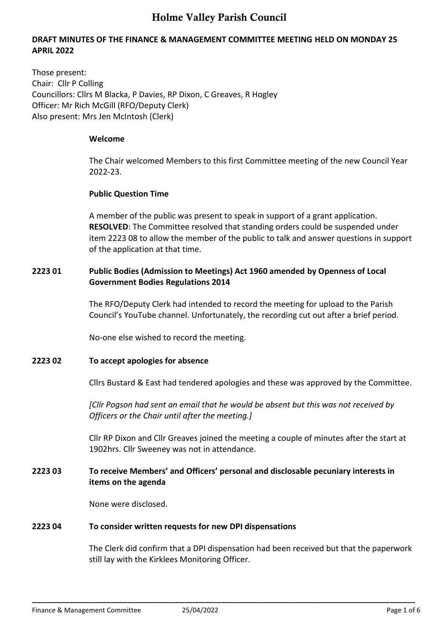# **DRAFT MINUTES OF THE FINANCE & MANAGEMENT COMMITTEE MEETING HELD ON MONDAY 25 APRIL 2022**

Those present: Chair: Cllr P Colling Councillors: Cllrs M Blacka, P Davies, RP Dixon, C Greaves, R Hogley Officer: Mr Rich McGill (RFO/Deputy Clerk) Also present: Mrs Jen McIntosh (Clerk)

#### **Welcome**

The Chair welcomed Members to this first Committee meeting of the new Council Year 2022-23.

# **Public Question Time**

A member of the public was present to speak in support of a grant application. **RESOLVED**: The Committee resolved that standing orders could be suspended under item 2223 08 to allow the member of the public to talk and answer questions in support of the application at that time.

# **2223 01 Public Bodies (Admission to Meetings) Act 1960 amended by Openness of Local Government Bodies Regulations 2014**

The RFO/Deputy Clerk had intended to record the meeting for upload to the Parish Council's YouTube channel. Unfortunately, the recording cut out after a brief period.

No-one else wished to record the meeting.

# **2223 02 To accept apologies for absence**

Cllrs Bustard & East had tendered apologies and these was approved by the Committee.

*[Cllr Pogson had sent an email that he would be absent but this was not received by Officers or the Chair until after the meeting.]*

Cllr RP Dixon and Cllr Greaves joined the meeting a couple of minutes after the start at 1902hrs. Cllr Sweeney was not in attendance.

# **2223 03 To receive Members' and Officers' personal and disclosable pecuniary interests in items on the agenda**

**\_\_\_\_\_\_\_\_\_\_\_\_\_\_\_\_\_\_\_\_\_\_\_\_\_\_\_\_\_\_\_\_\_\_\_\_\_\_\_\_\_\_\_\_\_\_\_\_\_\_\_\_\_\_\_\_\_\_\_\_\_\_\_\_\_\_\_\_\_\_\_\_\_\_\_\_\_\_\_\_\_\_\_\_\_\_\_\_\_\_\_\_\_** 

None were disclosed.

#### **2223 04 To consider written requests for new DPI dispensations**

The Clerk did confirm that a DPI dispensation had been received but that the paperwork still lay with the Kirklees Monitoring Officer.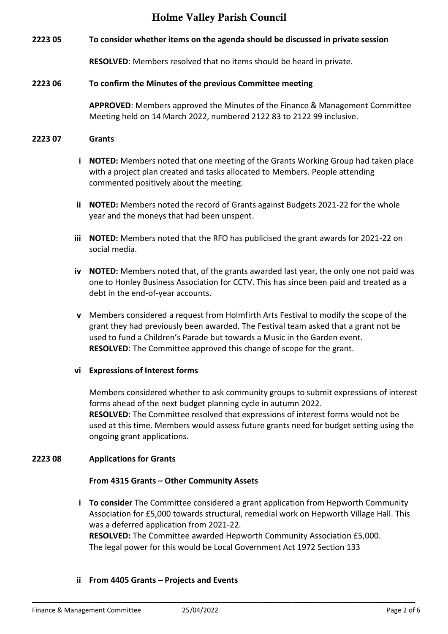**2223 05 To consider whether items on the agenda should be discussed in private session**

**RESOLVED**: Members resolved that no items should be heard in private.

#### **2223 06 To confirm the Minutes of the previous Committee meeting**

**APPROVED**: Members approved the Minutes of the Finance & Management Committee Meeting held on 14 March 2022, numbered 2122 83 to 2122 99 inclusive.

#### **2223 07 Grants**

- **i NOTED:** Members noted that one meeting of the Grants Working Group had taken place with a project plan created and tasks allocated to Members. People attending commented positively about the meeting.
- **ii NOTED:** Members noted the record of Grants against Budgets 2021-22 for the whole year and the moneys that had been unspent.
- **iii NOTED:** Members noted that the RFO has publicised the grant awards for 2021-22 on social media.
- **iv NOTED:** Members noted that, of the grants awarded last year, the only one not paid was one to Honley Business Association for CCTV. This has since been paid and treated as a debt in the end-of-year accounts.
- **v** Members considered a request from Holmfirth Arts Festival to modify the scope of the grant they had previously been awarded. The Festival team asked that a grant not be used to fund a Children's Parade but towards a Music in the Garden event. **RESOLVED**: The Committee approved this change of scope for the grant.

#### **vi Expressions of Interest forms**

Members considered whether to ask community groups to submit expressions of interest forms ahead of the next budget planning cycle in autumn 2022. **RESOLVED**: The Committee resolved that expressions of interest forms would not be used at this time. Members would assess future grants need for budget setting using the ongoing grant applications.

#### **2223 08 Applications for Grants**

#### **From 4315 Grants – Other Community Assets**

**i To consider** The Committee considered a grant application from Hepworth Community Association for £5,000 towards structural, remedial work on Hepworth Village Hall. This was a deferred application from 2021-22. **RESOLVED:** The Committee awarded Hepworth Community Association £5,000. The legal power for this would be Local Government Act 1972 Section 133

**\_\_\_\_\_\_\_\_\_\_\_\_\_\_\_\_\_\_\_\_\_\_\_\_\_\_\_\_\_\_\_\_\_\_\_\_\_\_\_\_\_\_\_\_\_\_\_\_\_\_\_\_\_\_\_\_\_\_\_\_\_\_\_\_\_\_\_\_\_\_\_\_\_\_\_\_\_\_\_\_\_\_\_\_\_\_\_\_\_\_\_\_\_** 

#### **ii From 4405 Grants – Projects and Events**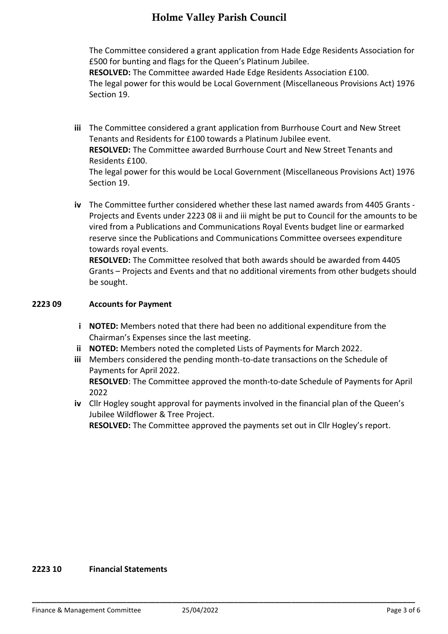The Committee considered a grant application from Hade Edge Residents Association for £500 for bunting and flags for the Queen's Platinum Jubilee. **RESOLVED:** The Committee awarded Hade Edge Residents Association £100.

The legal power for this would be Local Government (Miscellaneous Provisions Act) 1976 Section 19.

- **iii** The Committee considered a grant application from Burrhouse Court and New Street Tenants and Residents for £100 towards a Platinum Jubilee event. **RESOLVED:** The Committee awarded Burrhouse Court and New Street Tenants and Residents £100. The legal power for this would be Local Government (Miscellaneous Provisions Act) 1976 Section 19.
- **iv** The Committee further considered whether these last named awards from 4405 Grants Projects and Events under 2223 08 ii and iii might be put to Council for the amounts to be vired from a Publications and Communications Royal Events budget line or earmarked reserve since the Publications and Communications Committee oversees expenditure towards royal events.

**RESOLVED:** The Committee resolved that both awards should be awarded from 4405 Grants – Projects and Events and that no additional virements from other budgets should be sought.

### **2223 09 Accounts for Payment**

- **i NOTED:** Members noted that there had been no additional expenditure from the Chairman's Expenses since the last meeting.
- **ii NOTED:** Members noted the completed Lists of Payments for March 2022.
- **iii** Members considered the pending month-to-date transactions on the Schedule of Payments for April 2022.

**RESOLVED**: The Committee approved the month-to-date Schedule of Payments for April 2022

**iv** Cllr Hogley sought approval for payments involved in the financial plan of the Queen's Jubilee Wildflower & Tree Project.

**RESOLVED:** The Committee approved the payments set out in Cllr Hogley's report.

#### **2223 10 Financial Statements**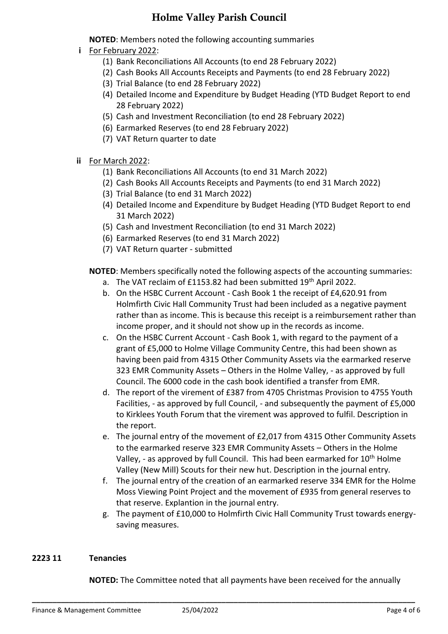**NOTED**: Members noted the following accounting summaries

- **i** For February 2022:
	- (1) Bank Reconciliations All Accounts (to end 28 February 2022)
	- (2) Cash Books All Accounts Receipts and Payments (to end 28 February 2022)
	- (3) Trial Balance (to end 28 February 2022)
	- (4) Detailed Income and Expenditure by Budget Heading (YTD Budget Report to end 28 February 2022)
	- (5) Cash and Investment Reconciliation (to end 28 February 2022)
	- (6) Earmarked Reserves (to end 28 February 2022)
	- (7) VAT Return quarter to date
- **ii** For March 2022:
	- (1) Bank Reconciliations All Accounts (to end 31 March 2022)
	- (2) Cash Books All Accounts Receipts and Payments (to end 31 March 2022)
	- (3) Trial Balance (to end 31 March 2022)
	- (4) Detailed Income and Expenditure by Budget Heading (YTD Budget Report to end 31 March 2022)
	- (5) Cash and Investment Reconciliation (to end 31 March 2022)
	- (6) Earmarked Reserves (to end 31 March 2022)
	- (7) VAT Return quarter submitted

**NOTED**: Members specifically noted the following aspects of the accounting summaries:

- a. The VAT reclaim of £1153.82 had been submitted  $19<sup>th</sup>$  April 2022.
- b. On the HSBC Current Account Cash Book 1 the receipt of £4,620.91 from Holmfirth Civic Hall Community Trust had been included as a negative payment rather than as income. This is because this receipt is a reimbursement rather than income proper, and it should not show up in the records as income.
- c. On the HSBC Current Account Cash Book 1, with regard to the payment of a grant of £5,000 to Holme Village Community Centre, this had been shown as having been paid from 4315 Other Community Assets via the earmarked reserve 323 EMR Community Assets – Others in the Holme Valley, - as approved by full Council. The 6000 code in the cash book identified a transfer from EMR.
- d. The report of the virement of £387 from 4705 Christmas Provision to 4755 Youth Facilities, - as approved by full Council, - and subsequently the payment of £5,000 to Kirklees Youth Forum that the virement was approved to fulfil. Description in the report.
- e. The journal entry of the movement of £2,017 from 4315 Other Community Assets to the earmarked reserve 323 EMR Community Assets – Others in the Holme Valley, - as approved by full Council. This had been earmarked for  $10<sup>th</sup>$  Holme Valley (New Mill) Scouts for their new hut. Description in the journal entry.
- f. The journal entry of the creation of an earmarked reserve 334 EMR for the Holme Moss Viewing Point Project and the movement of £935 from general reserves to that reserve. Explantion in the journal entry.
- g. The payment of £10,000 to Holmfirth Civic Hall Community Trust towards energysaving measures.

# **2223 11 Tenancies**

 **NOTED:** The Committee noted that all payments have been received for the annually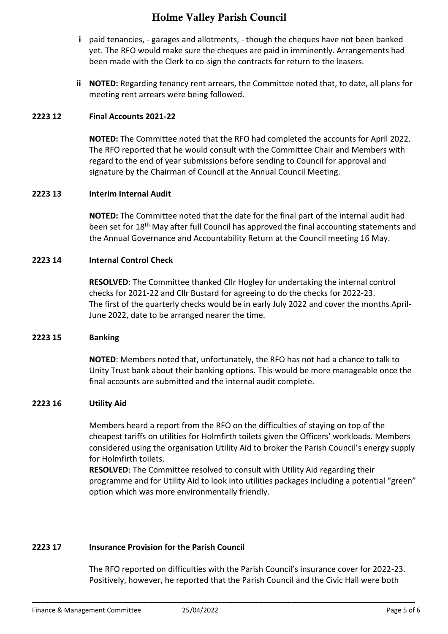- **i** paid tenancies, garages and allotments, though the cheques have not been banked yet. The RFO would make sure the cheques are paid in imminently. Arrangements had been made with the Clerk to co-sign the contracts for return to the leasers.
- **ii NOTED:** Regarding tenancy rent arrears, the Committee noted that, to date, all plans for meeting rent arrears were being followed.

### **2223 12 Final Accounts 2021-22**

**NOTED:** The Committee noted that the RFO had completed the accounts for April 2022. The RFO reported that he would consult with the Committee Chair and Members with regard to the end of year submissions before sending to Council for approval and signature by the Chairman of Council at the Annual Council Meeting.

### **2223 13 Interim Internal Audit**

**NOTED:** The Committee noted that the date for the final part of the internal audit had been set for 18<sup>th</sup> May after full Council has approved the final accounting statements and the Annual Governance and Accountability Return at the Council meeting 16 May.

### **2223 14 Internal Control Check**

**RESOLVED**: The Committee thanked Cllr Hogley for undertaking the internal control checks for 2021-22 and Cllr Bustard for agreeing to do the checks for 2022-23. The first of the quarterly checks would be in early July 2022 and cover the months April-June 2022, date to be arranged nearer the time.

#### **2223 15 Banking**

**NOTED**: Members noted that, unfortunately, the RFO has not had a chance to talk to Unity Trust bank about their banking options. This would be more manageable once the final accounts are submitted and the internal audit complete.

#### **2223 16 Utility Aid**

Members heard a report from the RFO on the difficulties of staying on top of the cheapest tariffs on utilities for Holmfirth toilets given the Officers' workloads. Members considered using the organisation Utility Aid to broker the Parish Council's energy supply for Holmfirth toilets.

**RESOLVED**: The Committee resolved to consult with Utility Aid regarding their programme and for Utility Aid to look into utilities packages including a potential "green" option which was more environmentally friendly.

# **2223 17 Insurance Provision for the Parish Council**

The RFO reported on difficulties with the Parish Council's insurance cover for 2022-23. Positively, however, he reported that the Parish Council and the Civic Hall were both